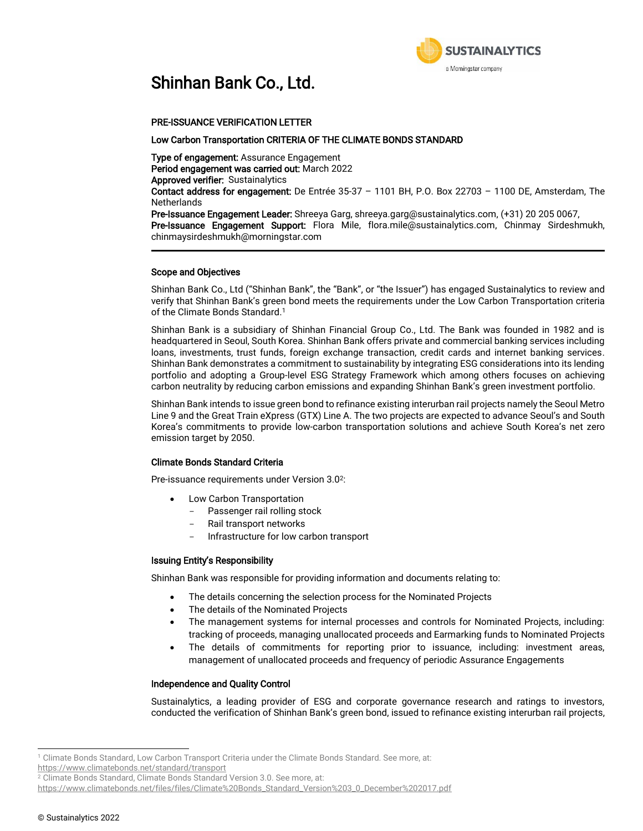

## Shinhan Bank Co., Ltd.

#### PRE-ISSUANCE VERIFICATION LETTER

#### Low Carbon Transportation CRITERIA OF THE CLIMATE BONDS STANDARD

Type of engagement: Assurance Engagement Period engagement was carried out: March 2022 Approved verifier: Sustainalytics Contact address for engagement: De Entrée 35-37 – 1101 BH, P.O. Box 22703 – 1100 DE, Amsterdam, The **Netherlands** Pre-Issuance Engagement Leader: Shreeya Garg, shreeya.garg@sustainalytics.com, (+31) 20 205 0067,

Pre-Issuance Engagement Support: Flora Mile, flora.mile@sustainalytics.com, Chinmay Sirdeshmukh, chinmaysirdeshmukh@morningstar.com

#### Scope and Objectives

Shinhan Bank Co., Ltd ("Shinhan Bank", the "Bank", or "the Issuer") has engaged Sustainalytics to review and verify that Shinhan Bank's green bond meets the requirements under the Low Carbon Transportation criteria of the Climate Bonds Standard. 1

Shinhan Bank is a subsidiary of Shinhan Financial Group Co., Ltd. The Bank was founded in 1982 and is headquartered in Seoul, South Korea. Shinhan Bank offers private and commercial banking services including loans, investments, trust funds, foreign exchange transaction, credit cards and internet banking services. Shinhan Bank demonstrates a commitment to sustainability by integrating ESG considerations into its lending portfolio and adopting a Group-level ESG Strategy Framework which among others focuses on achieving carbon neutrality by reducing carbon emissions and expanding Shinhan Bank's green investment portfolio.

Shinhan Bank intends to issue green bond to refinance existing interurban rail projects namely the Seoul Metro Line 9 and the Great Train eXpress (GTX) Line A. The two projects are expected to advance Seoul's and South Korea's commitments to provide low-carbon transportation solutions and achieve South Korea's net zero emission target by 2050.

#### Climate Bonds Standard Criteria

Pre-issuance requirements under Version 3.0<sup>2</sup>:

- Low Carbon Transportation
	- Passenger rail rolling stock
	- Rail transport networks
	- Infrastructure for low carbon transport

#### Issuing Entity's Responsibility

Shinhan Bank was responsible for providing information and documents relating to:

- The details concerning the selection process for the Nominated Projects
- The details of the Nominated Projects
- The management systems for internal processes and controls for Nominated Projects, including: tracking of proceeds, managing unallocated proceeds and Earmarking funds to Nominated Projects
- The details of commitments for reporting prior to issuance, including: investment areas, management of unallocated proceeds and frequency of periodic Assurance Engagements

#### Independence and Quality Control

Sustainalytics, a leading provider of ESG and corporate governance research and ratings to investors, conducted the verification of Shinhan Bank's green bond, issued to refinance existing interurban rail projects,

j

<sup>1</sup> Climate Bonds Standard, Low Carbon Transport Criteria under the Climate Bonds Standard. See more, at:

<https://www.climatebonds.net/standard/transport>

<sup>&</sup>lt;sup>2</sup> Climate Bonds Standard, Climate Bonds Standard Version 3.0. See more, at:

[https://www.climatebonds.net/files/files/Climate%20Bonds\\_Standard\\_Version%203\\_0\\_December%202017.pdf](https://www.climatebonds.net/files/files/Climate%20Bonds_Standard_Version%203_0_December%202017.pdf)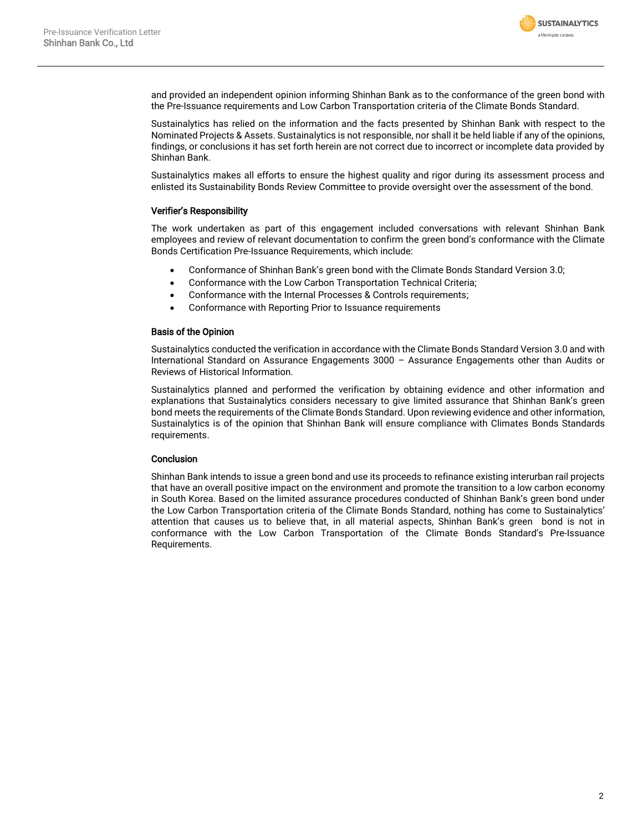

and provided an independent opinion informing Shinhan Bank as to the conformance of the green bond with the Pre-Issuance requirements and Low Carbon Transportation criteria of the Climate Bonds Standard.

Sustainalytics has relied on the information and the facts presented by Shinhan Bank with respect to the Nominated Projects & Assets. Sustainalytics is not responsible, nor shall it be held liable if any of the opinions, findings, or conclusions it has set forth herein are not correct due to incorrect or incomplete data provided by Shinhan Bank.

Sustainalytics makes all efforts to ensure the highest quality and rigor during its assessment process and enlisted its Sustainability Bonds Review Committee to provide oversight over the assessment of the bond.

#### Verifier's Responsibility

The work undertaken as part of this engagement included conversations with relevant Shinhan Bank employees and review of relevant documentation to confirm the green bond's conformance with the Climate Bonds Certification Pre-Issuance Requirements, which include:

- Conformance of Shinhan Bank's green bond with the Climate Bonds Standard Version 3.0;
- Conformance with the Low Carbon Transportation Technical Criteria;
- Conformance with the Internal Processes & Controls requirements;
- Conformance with Reporting Prior to Issuance requirements

#### Basis of the Opinion

Sustainalytics conducted the verification in accordance with the Climate Bonds Standard Version 3.0 and with International Standard on Assurance Engagements 3000 – Assurance Engagements other than Audits or Reviews of Historical Information.

Sustainalytics planned and performed the verification by obtaining evidence and other information and explanations that Sustainalytics considers necessary to give limited assurance that Shinhan Bank's green bond meets the requirements of the Climate Bonds Standard. Upon reviewing evidence and other information, Sustainalytics is of the opinion that Shinhan Bank will ensure compliance with Climates Bonds Standards requirements.

#### **Conclusion**

Shinhan Bank intends to issue a green bond and use its proceeds to refinance existing interurban rail projects that have an overall positive impact on the environment and promote the transition to a low carbon economy in South Korea. Based on the limited assurance procedures conducted of Shinhan Bank's green bond under the Low Carbon Transportation criteria of the Climate Bonds Standard, nothing has come to Sustainalytics' attention that causes us to believe that, in all material aspects, Shinhan Bank's green bond is not in conformance with the Low Carbon Transportation of the Climate Bonds Standard's Pre-Issuance Requirements.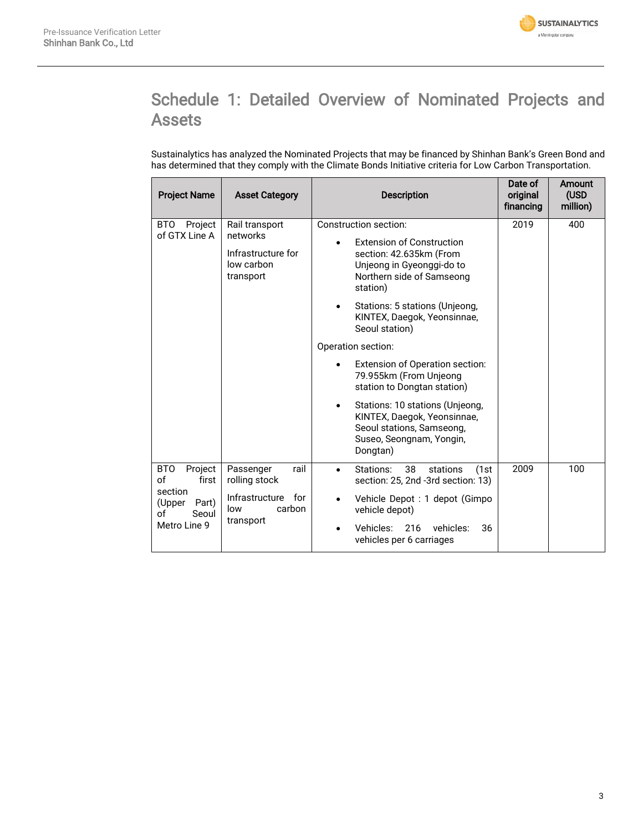

## Schedule 1: Detailed Overview of Nominated Projects and Assets

Sustainalytics has analyzed the Nominated Projects that may be financed by Shinhan Bank's Green Bond and has determined that they comply with the Climate Bonds Initiative criteria for Low Carbon Transportation.

| <b>Project Name</b>                       | <b>Asset Category</b>                               | <b>Description</b>                                                                                                                               | Date of<br>original<br>financing | Amount<br>(USD<br>million) |
|-------------------------------------------|-----------------------------------------------------|--------------------------------------------------------------------------------------------------------------------------------------------------|----------------------------------|----------------------------|
| BTO<br>Project<br>of GTX Line A           | Rail transport<br>networks                          | Construction section:                                                                                                                            | 2019                             | 400                        |
|                                           | Infrastructure for<br>low carbon<br>transport       | <b>Extension of Construction</b><br>section: 42.635km (From<br>Unjeong in Gyeonggi-do to<br>Northern side of Samseong<br>station)                |                                  |                            |
|                                           |                                                     | Stations: 5 stations (Unjeong,<br>$\bullet$<br>KINTEX, Daegok, Yeonsinnae,<br>Seoul station)                                                     |                                  |                            |
|                                           |                                                     | Operation section:                                                                                                                               |                                  |                            |
|                                           |                                                     | Extension of Operation section:<br>79.955km (From Unjeong<br>station to Dongtan station)                                                         |                                  |                            |
|                                           |                                                     | Stations: 10 stations (Unjeong,<br>$\bullet$<br>KINTEX, Daegok, Yeonsinnae,<br>Seoul stations, Samseong,<br>Suseo, Seongnam, Yongin,<br>Dongtan) |                                  |                            |
| <b>BTO</b><br>Project<br>of<br>first      | rail<br>Passenger<br>rolling stock                  | Stations:<br>38<br>stations<br>(1st<br>$\bullet$<br>section: 25, 2nd -3rd section: 13)                                                           | 2009                             | 100                        |
| section<br>(Upper<br>Part)<br>Seoul<br>оf | Infrastructure<br>for<br>carbon<br>low<br>transport | Vehicle Depot : 1 depot (Gimpo<br>$\bullet$<br>vehicle depot)                                                                                    |                                  |                            |
| Metro Line 9                              |                                                     | Vehicles:<br>vehicles:<br>36<br>216<br>vehicles per 6 carriages                                                                                  |                                  |                            |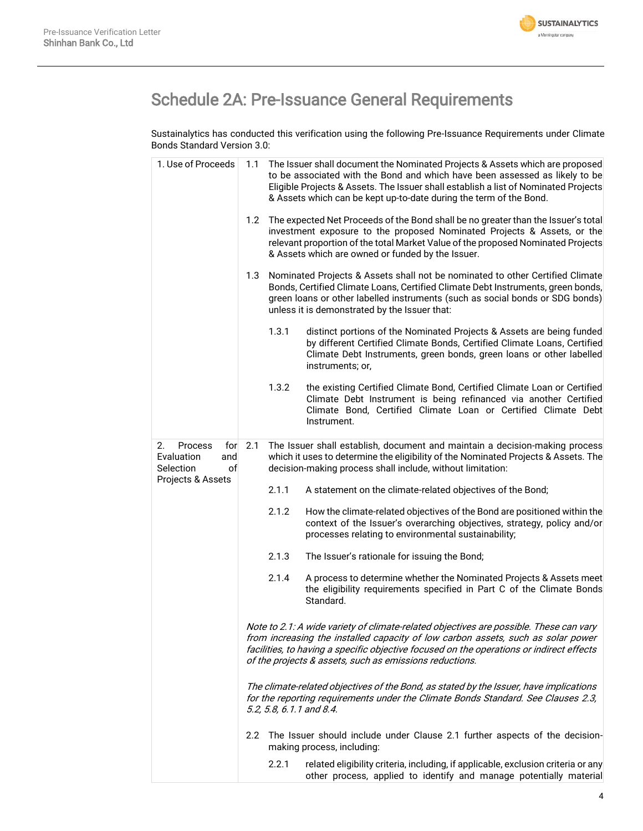

## Schedule 2A: Pre-Issuance General Requirements

Sustainalytics has conducted this verification using the following Pre-Issuance Requirements under Climate Bonds Standard Version 3.0:

|  | 1. Use of Proceeds                                                  | 1.1           |       | The Issuer shall document the Nominated Projects & Assets which are proposed<br>to be associated with the Bond and which have been assessed as likely to be<br>Eligible Projects & Assets. The Issuer shall establish a list of Nominated Projects<br>& Assets which can be kept up-to-date during the term of the Bond.          |
|--|---------------------------------------------------------------------|---------------|-------|-----------------------------------------------------------------------------------------------------------------------------------------------------------------------------------------------------------------------------------------------------------------------------------------------------------------------------------|
|  |                                                                     | 1.2           |       | The expected Net Proceeds of the Bond shall be no greater than the Issuer's total<br>investment exposure to the proposed Nominated Projects & Assets, or the<br>relevant proportion of the total Market Value of the proposed Nominated Projects<br>& Assets which are owned or funded by the Issuer.                             |
|  |                                                                     | 1.3           |       | Nominated Projects & Assets shall not be nominated to other Certified Climate<br>Bonds, Certified Climate Loans, Certified Climate Debt Instruments, green bonds,<br>green loans or other labelled instruments (such as social bonds or SDG bonds)<br>unless it is demonstrated by the Issuer that:                               |
|  |                                                                     |               | 1.3.1 | distinct portions of the Nominated Projects & Assets are being funded<br>by different Certified Climate Bonds, Certified Climate Loans, Certified<br>Climate Debt Instruments, green bonds, green loans or other labelled<br>instruments; or,                                                                                     |
|  |                                                                     |               | 1.3.2 | the existing Certified Climate Bond, Certified Climate Loan or Certified<br>Climate Debt Instrument is being refinanced via another Certified<br>Climate Bond, Certified Climate Loan or Certified Climate Debt<br>Instrument.                                                                                                    |
|  | 2.<br><b>Process</b><br>for<br>Evaluation<br>and<br>of<br>Selection | 2.1           |       | The Issuer shall establish, document and maintain a decision-making process<br>which it uses to determine the eligibility of the Nominated Projects & Assets. The<br>decision-making process shall include, without limitation:                                                                                                   |
|  | Projects & Assets                                                   |               | 2.1.1 | A statement on the climate-related objectives of the Bond;                                                                                                                                                                                                                                                                        |
|  |                                                                     |               | 2.1.2 | How the climate-related objectives of the Bond are positioned within the<br>context of the Issuer's overarching objectives, strategy, policy and/or<br>processes relating to environmental sustainability;                                                                                                                        |
|  |                                                                     |               | 2.1.3 | The Issuer's rationale for issuing the Bond;                                                                                                                                                                                                                                                                                      |
|  |                                                                     |               | 2.1.4 | A process to determine whether the Nominated Projects & Assets meet<br>the eligibility requirements specified in Part C of the Climate Bonds<br>Standard.                                                                                                                                                                         |
|  |                                                                     |               |       | Note to 2.1: A wide variety of climate-related objectives are possible. These can vary<br>from increasing the installed capacity of low carbon assets, such as solar power<br>facilities, to having a specific objective focused on the operations or indirect effects<br>of the projects & assets, such as emissions reductions. |
|  |                                                                     |               |       | The climate-related objectives of the Bond, as stated by the Issuer, have implications<br>for the reporting requirements under the Climate Bonds Standard. See Clauses 2.3,<br>5.2, 5.8, 6.1.1 and 8.4.                                                                                                                           |
|  |                                                                     | $2.2^{\circ}$ |       | The Issuer should include under Clause 2.1 further aspects of the decision-<br>making process, including:                                                                                                                                                                                                                         |
|  |                                                                     |               | 2.2.1 | related eligibility criteria, including, if applicable, exclusion criteria or any<br>other process, applied to identify and manage potentially material                                                                                                                                                                           |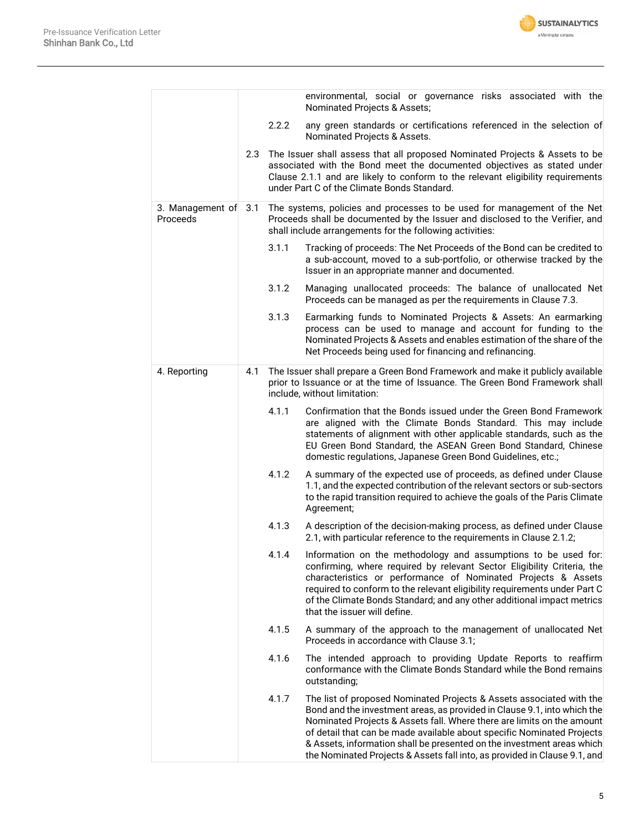

|                              |     |       | environmental, social or governance risks associated with the<br>Nominated Projects & Assets;                                                                                                                                                                                                                                                                                                                                                               |
|------------------------------|-----|-------|-------------------------------------------------------------------------------------------------------------------------------------------------------------------------------------------------------------------------------------------------------------------------------------------------------------------------------------------------------------------------------------------------------------------------------------------------------------|
|                              |     | 2.2.2 | any green standards or certifications referenced in the selection of<br>Nominated Projects & Assets.                                                                                                                                                                                                                                                                                                                                                        |
|                              | 2.3 |       | The Issuer shall assess that all proposed Nominated Projects & Assets to be<br>associated with the Bond meet the documented objectives as stated under<br>Clause 2.1.1 and are likely to conform to the relevant eligibility requirements<br>under Part C of the Climate Bonds Standard.                                                                                                                                                                    |
| 3. Management of<br>Proceeds | 3.1 |       | The systems, policies and processes to be used for management of the Net<br>Proceeds shall be documented by the Issuer and disclosed to the Verifier, and<br>shall include arrangements for the following activities:                                                                                                                                                                                                                                       |
|                              |     | 3.1.1 | Tracking of proceeds: The Net Proceeds of the Bond can be credited to<br>a sub-account, moved to a sub-portfolio, or otherwise tracked by the<br>Issuer in an appropriate manner and documented.                                                                                                                                                                                                                                                            |
|                              |     | 3.1.2 | Managing unallocated proceeds: The balance of unallocated Net<br>Proceeds can be managed as per the requirements in Clause 7.3.                                                                                                                                                                                                                                                                                                                             |
|                              |     | 3.1.3 | Earmarking funds to Nominated Projects & Assets: An earmarking<br>process can be used to manage and account for funding to the<br>Nominated Projects & Assets and enables estimation of the share of the<br>Net Proceeds being used for financing and refinancing.                                                                                                                                                                                          |
| 4. Reporting                 | 4.1 |       | The Issuer shall prepare a Green Bond Framework and make it publicly available<br>prior to Issuance or at the time of Issuance. The Green Bond Framework shall<br>include, without limitation:                                                                                                                                                                                                                                                              |
|                              |     | 4.1.1 | Confirmation that the Bonds issued under the Green Bond Framework<br>are aligned with the Climate Bonds Standard. This may include<br>statements of alignment with other applicable standards, such as the<br>EU Green Bond Standard, the ASEAN Green Bond Standard, Chinese<br>domestic regulations, Japanese Green Bond Guidelines, etc.;                                                                                                                 |
|                              |     | 4.1.2 | A summary of the expected use of proceeds, as defined under Clause<br>1.1, and the expected contribution of the relevant sectors or sub-sectors<br>to the rapid transition required to achieve the goals of the Paris Climate<br>Agreement;                                                                                                                                                                                                                 |
|                              |     | 4.1.3 | A description of the decision-making process, as defined under Clause<br>2.1, with particular reference to the requirements in Clause 2.1.2;                                                                                                                                                                                                                                                                                                                |
|                              |     | 4.1.4 | Information on the methodology and assumptions to be used for:<br>confirming, where required by relevant Sector Eligibility Criteria, the<br>characteristics or performance of Nominated Projects & Assets<br>required to conform to the relevant eligibility requirements under Part C<br>of the Climate Bonds Standard; and any other additional impact metrics<br>that the issuer will define.                                                           |
|                              |     | 4.1.5 | A summary of the approach to the management of unallocated Net<br>Proceeds in accordance with Clause 3.1;                                                                                                                                                                                                                                                                                                                                                   |
|                              |     | 4.1.6 | The intended approach to providing Update Reports to reaffirm<br>conformance with the Climate Bonds Standard while the Bond remains<br>outstanding;                                                                                                                                                                                                                                                                                                         |
|                              |     | 4.1.7 | The list of proposed Nominated Projects & Assets associated with the<br>Bond and the investment areas, as provided in Clause 9.1, into which the<br>Nominated Projects & Assets fall. Where there are limits on the amount<br>of detail that can be made available about specific Nominated Projects<br>& Assets, information shall be presented on the investment areas which<br>the Nominated Projects & Assets fall into, as provided in Clause 9.1, and |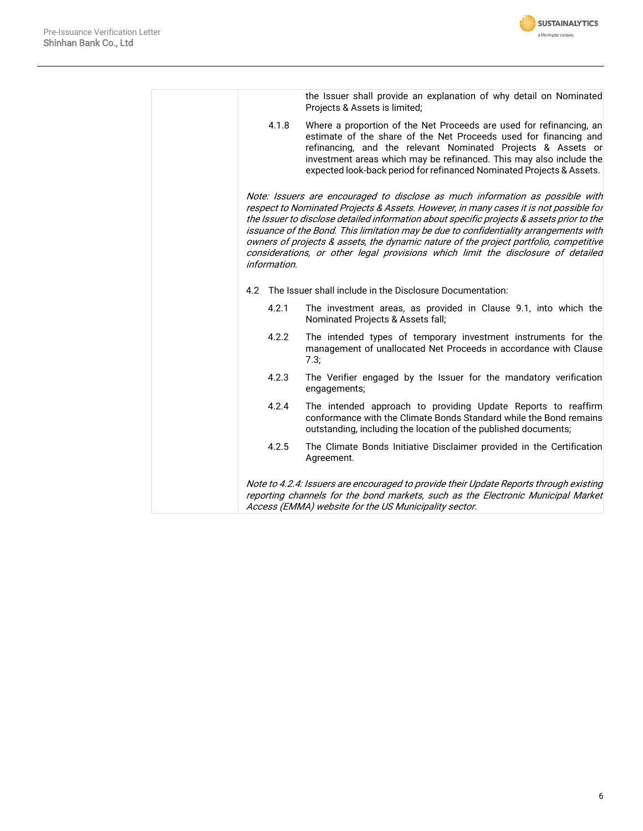

|              | the Issuer shall provide an explanation of why detail on Nominated<br>Projects & Assets is limited;                                                                                                                                                                                                                                                                                                                                                                                                                                       |
|--------------|-------------------------------------------------------------------------------------------------------------------------------------------------------------------------------------------------------------------------------------------------------------------------------------------------------------------------------------------------------------------------------------------------------------------------------------------------------------------------------------------------------------------------------------------|
| 4.1.8        | Where a proportion of the Net Proceeds are used for refinancing, an<br>estimate of the share of the Net Proceeds used for financing and<br>refinancing, and the relevant Nominated Projects & Assets or<br>investment areas which may be refinanced. This may also include the<br>expected look-back period for refinanced Nominated Projects & Assets.                                                                                                                                                                                   |
| information. | Note: Issuers are encouraged to disclose as much information as possible with<br>respect to Nominated Projects & Assets. However, in many cases it is not possible for<br>the Issuer to disclose detailed information about specific projects & assets prior to the<br>issuance of the Bond. This limitation may be due to confidentiality arrangements with<br>owners of projects & assets, the dynamic nature of the project portfolio, competitive<br>considerations, or other legal provisions which limit the disclosure of detailed |
| 4.2          | The Issuer shall include in the Disclosure Documentation:                                                                                                                                                                                                                                                                                                                                                                                                                                                                                 |
| 4.2.1        | The investment areas, as provided in Clause 9.1, into which the<br>Nominated Projects & Assets fall;                                                                                                                                                                                                                                                                                                                                                                                                                                      |
| 4.2.2        | The intended types of temporary investment instruments for the<br>management of unallocated Net Proceeds in accordance with Clause<br>7.3;                                                                                                                                                                                                                                                                                                                                                                                                |
| 4.2.3        | The Verifier engaged by the Issuer for the mandatory verification<br>engagements;                                                                                                                                                                                                                                                                                                                                                                                                                                                         |
| 4.2.4        | The intended approach to providing Update Reports to reaffirm<br>conformance with the Climate Bonds Standard while the Bond remains<br>outstanding, including the location of the published documents;                                                                                                                                                                                                                                                                                                                                    |
| 4.2.5        | The Climate Bonds Initiative Disclaimer provided in the Certification<br>Agreement.                                                                                                                                                                                                                                                                                                                                                                                                                                                       |
|              | Note to 4.2.4: Issuers are encouraged to provide their Update Reports through existing<br>reporting channels for the bond markets, such as the Electronic Municipal Market<br>Access (EMMA) website for the US Municipality sector.                                                                                                                                                                                                                                                                                                       |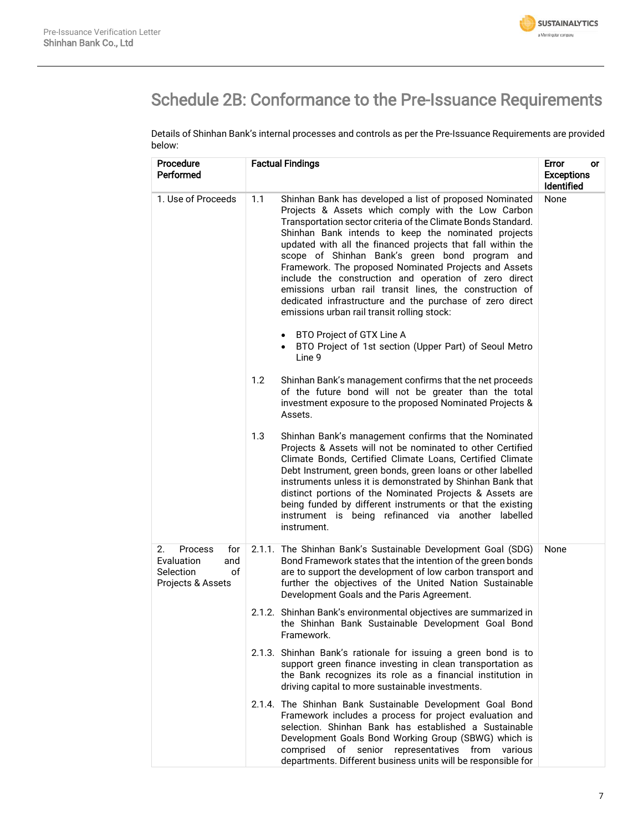

# Schedule 2B: Conformance to the Pre-Issuance Requirements

Details of Shinhan Bank's internal processes and controls as per the Pre-Issuance Requirements are provided below:

| Procedure<br><b>Performed</b>                                                            | <b>Factual Findings</b>                                                                                                                                                                                                                                                                                                                                                                                                                                                                                                                                                                                                                               | Error<br>or<br><b>Exceptions</b><br><b>Identified</b> |
|------------------------------------------------------------------------------------------|-------------------------------------------------------------------------------------------------------------------------------------------------------------------------------------------------------------------------------------------------------------------------------------------------------------------------------------------------------------------------------------------------------------------------------------------------------------------------------------------------------------------------------------------------------------------------------------------------------------------------------------------------------|-------------------------------------------------------|
| 1. Use of Proceeds                                                                       | 1.1<br>Shinhan Bank has developed a list of proposed Nominated<br>Projects & Assets which comply with the Low Carbon<br>Transportation sector criteria of the Climate Bonds Standard.<br>Shinhan Bank intends to keep the nominated projects<br>updated with all the financed projects that fall within the<br>scope of Shinhan Bank's green bond program and<br>Framework. The proposed Nominated Projects and Assets<br>include the construction and operation of zero direct<br>emissions urban rail transit lines, the construction of<br>dedicated infrastructure and the purchase of zero direct<br>emissions urban rail transit rolling stock: | None                                                  |
|                                                                                          | • BTO Project of GTX Line A<br>BTO Project of 1st section (Upper Part) of Seoul Metro<br>Line 9                                                                                                                                                                                                                                                                                                                                                                                                                                                                                                                                                       |                                                       |
|                                                                                          | 1.2<br>Shinhan Bank's management confirms that the net proceeds<br>of the future bond will not be greater than the total<br>investment exposure to the proposed Nominated Projects &<br>Assets.                                                                                                                                                                                                                                                                                                                                                                                                                                                       |                                                       |
|                                                                                          | 1.3<br>Shinhan Bank's management confirms that the Nominated<br>Projects & Assets will not be nominated to other Certified<br>Climate Bonds, Certified Climate Loans, Certified Climate<br>Debt Instrument, green bonds, green loans or other labelled<br>instruments unless it is demonstrated by Shinhan Bank that<br>distinct portions of the Nominated Projects & Assets are<br>being funded by different instruments or that the existing<br>instrument is being refinanced via another labelled<br>instrument.                                                                                                                                  |                                                       |
| <b>Process</b><br>2.<br>for<br>Evaluation<br>and<br>Selection<br>οf<br>Projects & Assets | 2.1.1. The Shinhan Bank's Sustainable Development Goal (SDG)<br>Bond Framework states that the intention of the green bonds<br>are to support the development of low carbon transport and<br>further the objectives of the United Nation Sustainable<br>Development Goals and the Paris Agreement.                                                                                                                                                                                                                                                                                                                                                    | None                                                  |
|                                                                                          | 2.1.2. Shinhan Bank's environmental objectives are summarized in<br>the Shinhan Bank Sustainable Development Goal Bond<br>Framework.                                                                                                                                                                                                                                                                                                                                                                                                                                                                                                                  |                                                       |
|                                                                                          | 2.1.3. Shinhan Bank's rationale for issuing a green bond is to<br>support green finance investing in clean transportation as<br>the Bank recognizes its role as a financial institution in<br>driving capital to more sustainable investments.                                                                                                                                                                                                                                                                                                                                                                                                        |                                                       |
|                                                                                          | 2.1.4. The Shinhan Bank Sustainable Development Goal Bond<br>Framework includes a process for project evaluation and<br>selection. Shinhan Bank has established a Sustainable<br>Development Goals Bond Working Group (SBWG) which is<br>of senior<br>representatives<br>comprised<br>from<br>various<br>departments. Different business units will be responsible for                                                                                                                                                                                                                                                                                |                                                       |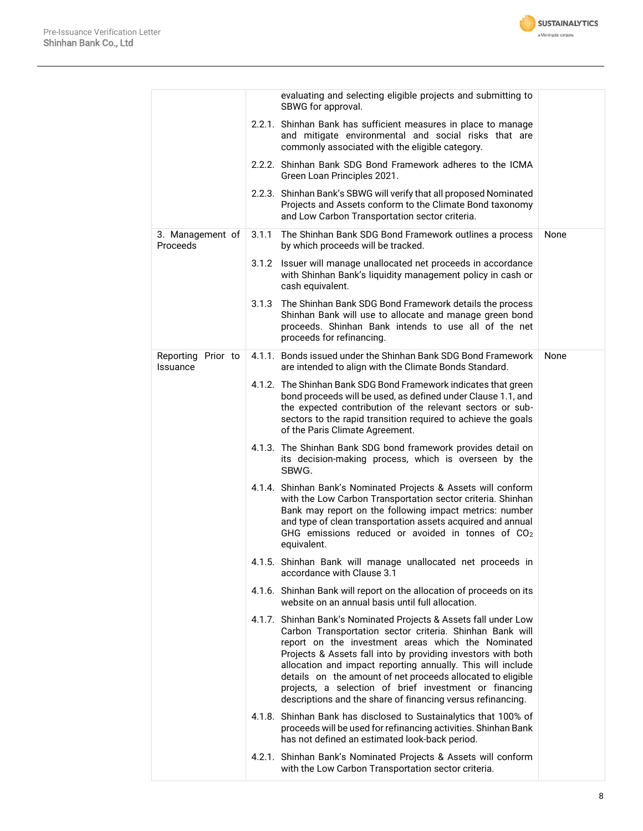

|                                       |       | evaluating and selecting eligible projects and submitting to<br>SBWG for approval.                                                                                                                                                                                                                                                                                                                                                                                                                        |      |
|---------------------------------------|-------|-----------------------------------------------------------------------------------------------------------------------------------------------------------------------------------------------------------------------------------------------------------------------------------------------------------------------------------------------------------------------------------------------------------------------------------------------------------------------------------------------------------|------|
|                                       |       | 2.2.1. Shinhan Bank has sufficient measures in place to manage<br>and mitigate environmental and social risks that are<br>commonly associated with the eligible category.                                                                                                                                                                                                                                                                                                                                 |      |
|                                       |       | 2.2.2. Shinhan Bank SDG Bond Framework adheres to the ICMA<br>Green Loan Principles 2021.                                                                                                                                                                                                                                                                                                                                                                                                                 |      |
|                                       |       | 2.2.3. Shinhan Bank's SBWG will verify that all proposed Nominated<br>Projects and Assets conform to the Climate Bond taxonomy<br>and Low Carbon Transportation sector criteria.                                                                                                                                                                                                                                                                                                                          |      |
| 3. Management of<br>Proceeds          | 3.1.1 | The Shinhan Bank SDG Bond Framework outlines a process<br>by which proceeds will be tracked.                                                                                                                                                                                                                                                                                                                                                                                                              | None |
|                                       |       | 3.1.2 Issuer will manage unallocated net proceeds in accordance<br>with Shinhan Bank's liquidity management policy in cash or<br>cash equivalent.                                                                                                                                                                                                                                                                                                                                                         |      |
|                                       |       | 3.1.3 The Shinhan Bank SDG Bond Framework details the process<br>Shinhan Bank will use to allocate and manage green bond<br>proceeds. Shinhan Bank intends to use all of the net<br>proceeds for refinancing.                                                                                                                                                                                                                                                                                             |      |
| Reporting Prior to<br><b>Issuance</b> |       | 4.1.1. Bonds issued under the Shinhan Bank SDG Bond Framework<br>are intended to align with the Climate Bonds Standard.                                                                                                                                                                                                                                                                                                                                                                                   | None |
|                                       |       | 4.1.2. The Shinhan Bank SDG Bond Framework indicates that green<br>bond proceeds will be used, as defined under Clause 1.1, and<br>the expected contribution of the relevant sectors or sub-<br>sectors to the rapid transition required to achieve the goals<br>of the Paris Climate Agreement.                                                                                                                                                                                                          |      |
|                                       |       | 4.1.3. The Shinhan Bank SDG bond framework provides detail on<br>its decision-making process, which is overseen by the<br>SBWG.                                                                                                                                                                                                                                                                                                                                                                           |      |
|                                       |       | 4.1.4. Shinhan Bank's Nominated Projects & Assets will conform<br>with the Low Carbon Transportation sector criteria. Shinhan<br>Bank may report on the following impact metrics: number<br>and type of clean transportation assets acquired and annual<br>GHG emissions reduced or avoided in tonnes of $CO2$<br>equivalent.                                                                                                                                                                             |      |
|                                       |       | 4.1.5. Shinhan Bank will manage unallocated net proceeds in<br>accordance with Clause 3.1                                                                                                                                                                                                                                                                                                                                                                                                                 |      |
|                                       |       | 4.1.6. Shinhan Bank will report on the allocation of proceeds on its<br>website on an annual basis until full allocation.                                                                                                                                                                                                                                                                                                                                                                                 |      |
|                                       |       | 4.1.7. Shinhan Bank's Nominated Projects & Assets fall under Low<br>Carbon Transportation sector criteria. Shinhan Bank will<br>report on the investment areas which the Nominated<br>Projects & Assets fall into by providing investors with both<br>allocation and impact reporting annually. This will include<br>details on the amount of net proceeds allocated to eligible<br>projects, a selection of brief investment or financing<br>descriptions and the share of financing versus refinancing. |      |
|                                       |       | 4.1.8. Shinhan Bank has disclosed to Sustainalytics that 100% of<br>proceeds will be used for refinancing activities. Shinhan Bank<br>has not defined an estimated look-back period.                                                                                                                                                                                                                                                                                                                      |      |
|                                       |       | 4.2.1. Shinhan Bank's Nominated Projects & Assets will conform<br>with the Low Carbon Transportation sector criteria.                                                                                                                                                                                                                                                                                                                                                                                     |      |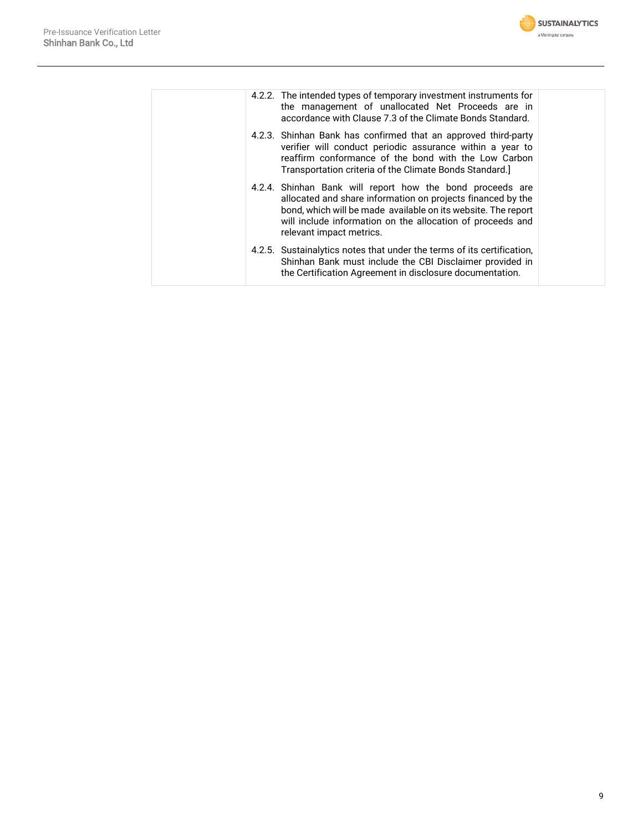

|  | 4.2.2. The intended types of temporary investment instruments for<br>the management of unallocated Net Proceeds are in<br>accordance with Clause 7.3 of the Climate Bonds Standard.                                                                                                 |  |
|--|-------------------------------------------------------------------------------------------------------------------------------------------------------------------------------------------------------------------------------------------------------------------------------------|--|
|  | 4.2.3. Shinhan Bank has confirmed that an approved third-party<br>verifier will conduct periodic assurance within a year to<br>reaffirm conformance of the bond with the Low Carbon<br>Transportation criteria of the Climate Bonds Standard.                                       |  |
|  | 4.2.4. Shinhan Bank will report how the bond proceeds are<br>allocated and share information on projects financed by the<br>bond, which will be made available on its website. The report<br>will include information on the allocation of proceeds and<br>relevant impact metrics. |  |
|  | 4.2.5. Sustainalytics notes that under the terms of its certification,<br>Shinhan Bank must include the CBI Disclaimer provided in<br>the Certification Agreement in disclosure documentation.                                                                                      |  |
|  |                                                                                                                                                                                                                                                                                     |  |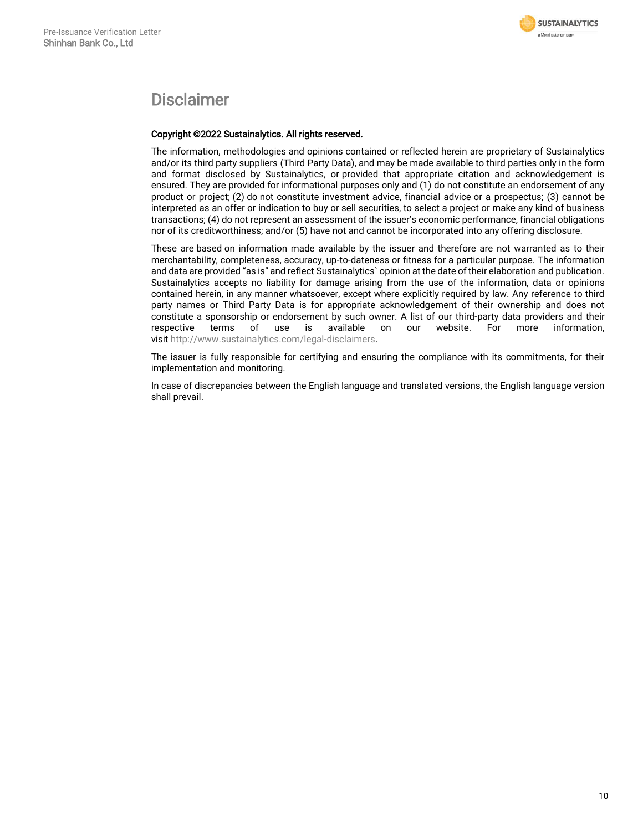

### Disclaimer

#### Copyright ©2022 Sustainalytics. All rights reserved.

The information, methodologies and opinions contained or reflected herein are proprietary of Sustainalytics and/or its third party suppliers (Third Party Data), and may be made available to third parties only in the form and format disclosed by Sustainalytics, or provided that appropriate citation and acknowledgement is ensured. They are provided for informational purposes only and (1) do not constitute an endorsement of any product or project; (2) do not constitute investment advice, financial advice or a prospectus; (3) cannot be interpreted as an offer or indication to buy or sell securities, to select a project or make any kind of business transactions; (4) do not represent an assessment of the issuer's economic performance, financial obligations nor of its creditworthiness; and/or (5) have not and cannot be incorporated into any offering disclosure.

These are based on information made available by the issuer and therefore are not warranted as to their merchantability, completeness, accuracy, up-to-dateness or fitness for a particular purpose. The information and data are provided "as is" and reflect Sustainalytics` opinion at the date of their elaboration and publication. Sustainalytics accepts no liability for damage arising from the use of the information, data or opinions contained herein, in any manner whatsoever, except where explicitly required by law. Any reference to third party names or Third Party Data is for appropriate acknowledgement of their ownership and does not constitute a sponsorship or endorsement by such owner. A list of our third-party data providers and their<br>respective terms of use is available on our website. For more information. respective terms of use is available on our website. For more information, visit [http://www.sustainalytics.com/legal-disclaimers.](http://www.sustainalytics.com/legal-disclaimers)

The issuer is fully responsible for certifying and ensuring the compliance with its commitments, for their implementation and monitoring.

In case of discrepancies between the English language and translated versions, the English language version shall prevail.